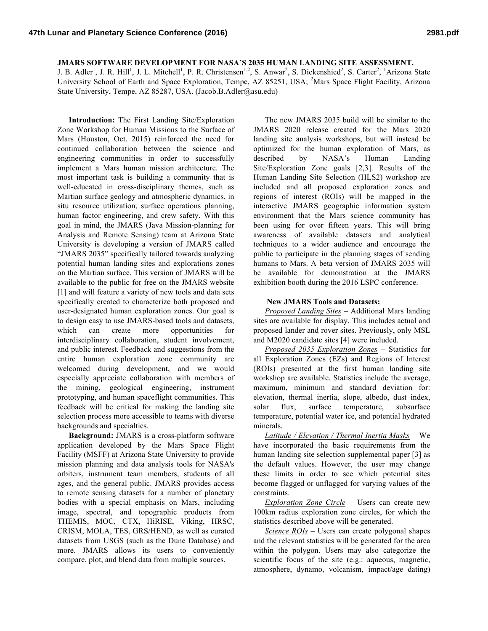## **JMARS SOFTWARE DEVELOPMENT FOR NASA'S 2035 HUMAN LANDING SITE ASSESSMENT.**

J. B. Adler<sup>1</sup>, J. R. Hill<sup>1</sup>, J. L. Mitchell<sup>1</sup>, P. R. Christensen<sup>1,2</sup>, S. Anwar<sup>2</sup>, S. Dickenshied<sup>2</sup>, S. Carter<sup>2</sup>, <sup>1</sup>Arizona State University School of Earth and Space Exploration, Tempe, AZ 85251, USA; <sup>2</sup>Mars Space Flight Facility, Arizona State University, Tempe, AZ 85287, USA. (Jacob.B.Adler@asu.edu)

**Introduction:** The First Landing Site/Exploration Zone Workshop for Human Missions to the Surface of Mars (Houston, Oct. 2015) reinforced the need for continued collaboration between the science and engineering communities in order to successfully implement a Mars human mission architecture. The most important task is building a community that is well-educated in cross-disciplinary themes, such as Martian surface geology and atmospheric dynamics, in situ resource utilization, surface operations planning, human factor engineering, and crew safety. With this goal in mind, the JMARS (Java Mission-planning for Analysis and Remote Sensing) team at Arizona State University is developing a version of JMARS called "JMARS 2035" specifically tailored towards analyzing potential human landing sites and explorations zones on the Martian surface. This version of JMARS will be available to the public for free on the JMARS website [1] and will feature a variety of new tools and data sets specifically created to characterize both proposed and user-designated human exploration zones. Our goal is to design easy to use JMARS-based tools and datasets, which can create more opportunities for interdisciplinary collaboration, student involvement, and public interest. Feedback and suggestions from the entire human exploration zone community are welcomed during development, and we would especially appreciate collaboration with members of the mining, geological engineering, instrument prototyping, and human spaceflight communities. This feedback will be critical for making the landing site selection process more accessible to teams with diverse backgrounds and specialties.

**Background:** JMARS is a cross-platform software application developed by the Mars Space Flight Facility (MSFF) at Arizona State University to provide mission planning and data analysis tools for NASA's orbiters, instrument team members, students of all ages, and the general public. JMARS provides access to remote sensing datasets for a number of planetary bodies with a special emphasis on Mars, including image, spectral, and topographic products from THEMIS, MOC, CTX, HiRISE, Viking, HRSC, CRISM, MOLA, TES, GRS/HEND, as well as curated datasets from USGS (such as the Dune Database) and more. JMARS allows its users to conveniently compare, plot, and blend data from multiple sources.

The new JMARS 2035 build will be similar to the JMARS 2020 release created for the Mars 2020 landing site analysis workshops, but will instead be optimized for the human exploration of Mars, as described by NASA's Human Landing Site/Exploration Zone goals [2,3]. Results of the Human Landing Site Selection (HLS2) workshop are included and all proposed exploration zones and regions of interest (ROIs) will be mapped in the interactive JMARS geographic information system environment that the Mars science community has been using for over fifteen years. This will bring awareness of available datasets and analytical techniques to a wider audience and encourage the public to participate in the planning stages of sending humans to Mars. A beta version of JMARS 2035 will be available for demonstration at the JMARS exhibition booth during the 2016 LSPC conference.

## **New JMARS Tools and Datasets:**

*Proposed Landing Sites* – Additional Mars landing sites are available for display. This includes actual and proposed lander and rover sites. Previously, only MSL and M2020 candidate sites [4] were included.

*Proposed 2035 Exploration Zones* – Statistics for all Exploration Zones (EZs) and Regions of Interest (ROIs) presented at the first human landing site workshop are available. Statistics include the average, maximum, minimum and standard deviation for: elevation, thermal inertia, slope, albedo, dust index, solar flux, surface temperature, subsurface temperature, potential water ice, and potential hydrated minerals.

*Latitude / Elevation / Thermal Inertia Masks* – We have incorporated the basic requirements from the human landing site selection supplemental paper [3] as the default values. However, the user may change these limits in order to see which potential sites become flagged or unflagged for varying values of the constraints.

*Exploration Zone Circle* – Users can create new 100km radius exploration zone circles, for which the statistics described above will be generated.

*Science ROIs* – Users can create polygonal shapes and the relevant statistics will be generated for the area within the polygon. Users may also categorize the scientific focus of the site (e.g.: aqueous, magnetic, atmosphere, dynamo, volcanism, impact/age dating)